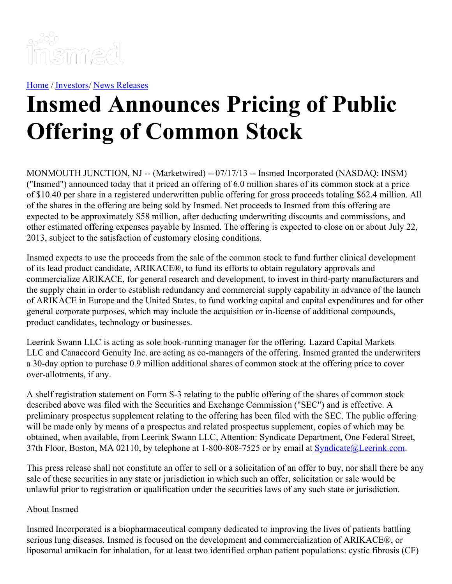

[Home](https://insmed.com/) / [Investors](https://investor.insmed.com/index)/ News [Releases](https://investor.insmed.com/releases)

## **Insmed Announces Pricing of Public Offering of Common Stock**

MONMOUTH JUNCTION, NJ -- (Marketwired) -- 07/17/13 -- Insmed Incorporated (NASDAQ: INSM) ("Insmed") announced today that it priced an offering of 6.0 million shares of its common stock at a price of \$10.40 per share in a registered underwritten public offering for gross proceeds totaling \$62.4 million. All of the shares in the offering are being sold by Insmed. Net proceeds to Insmed from this offering are expected to be approximately \$58 million, after deducting underwriting discounts and commissions, and other estimated offering expenses payable by Insmed. The offering is expected to close on or about July 22, 2013, subject to the satisfaction of customary closing conditions.

Insmed expects to use the proceeds from the sale of the common stock to fund further clinical development of its lead product candidate, ARIKACE®, to fund its efforts to obtain regulatory approvals and commercialize ARIKACE, for general research and development, to invest in third-party manufacturers and the supply chain in order to establish redundancy and commercial supply capability in advance of the launch of ARIKACE in Europe and the United States, to fund working capital and capital expenditures and for other general corporate purposes, which may include the acquisition or in-license of additional compounds, product candidates, technology or businesses.

Leerink Swann LLC is acting as sole book-running manager for the offering. Lazard Capital Markets LLC and Canaccord Genuity Inc. are acting as co-managers of the offering. Insmed granted the underwriters a 30-day option to purchase 0.9 million additional shares of common stock at the offering price to cover over-allotments, if any.

A shelf registration statement on Form S-3 relating to the public offering of the shares of common stock described above was filed with the Securities and Exchange Commission ("SEC") and is effective. A preliminary prospectus supplement relating to the offering has been filed with the SEC. The public offering will be made only by means of a prospectus and related prospectus supplement, copies of which may be obtained, when available, from Leerink Swann LLC, Attention: Syndicate Department, One Federal Street, 37th Floor, Boston, MA 02110, by telephone at 1-800-808-7525 or by email at **[Syndicate@Leerink.com](mailto:Syndicate@Leerink.com).** 

This press release shall not constitute an offer to sell or a solicitation of an offer to buy, nor shall there be any sale of these securities in any state or jurisdiction in which such an offer, solicitation or sale would be unlawful prior to registration or qualification under the securities laws of any such state or jurisdiction.

## About Insmed

Insmed Incorporated is a biopharmaceutical company dedicated to improving the lives of patients battling serious lung diseases. Insmed is focused on the development and commercialization of ARIKACE®, or liposomal amikacin for inhalation, for at least two identified orphan patient populations: cystic fibrosis (CF)